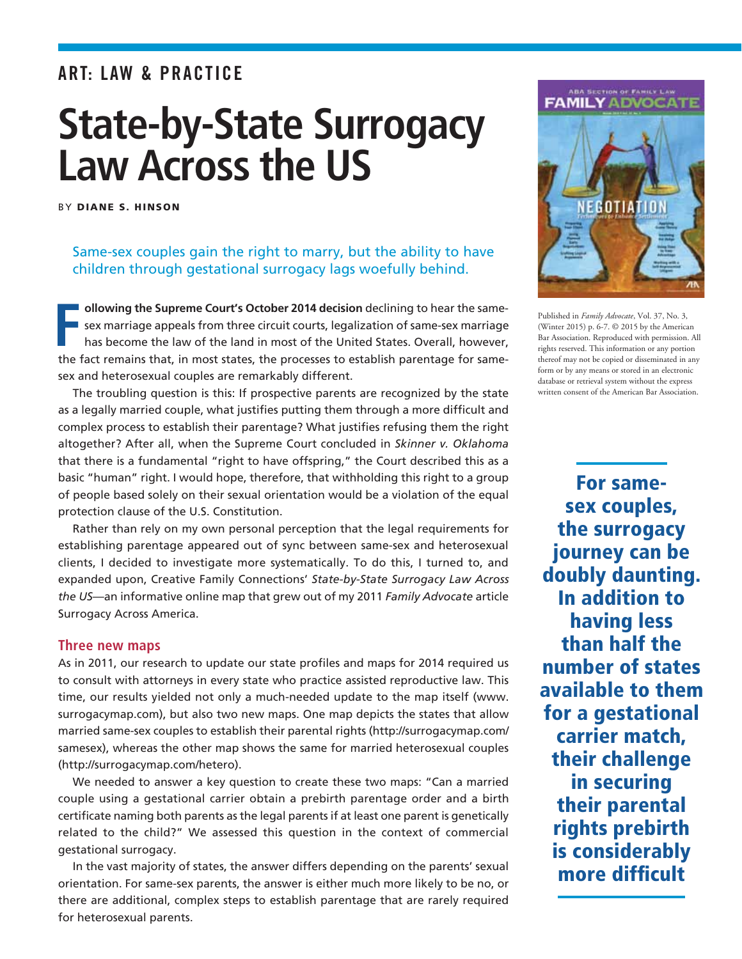# ART: Law & Practice

# **State-by-State Surrogacy Law Across the US**

By Diane S. Hinson

## Same-sex couples gain the right to marry, but the ability to have children through gestational surrogacy lags woefully behind.

**F I** ollowing the Supreme Court's October 2014 decision declining to hear the same**sex marriage appeals from three circuit courts, legalization of same-sex marriage** has become the law of the land in most of the United States. Overall, however, the fact remains that, in most states, the processes to establish parentage for samesex and heterosexual couples are remarkably different.

The troubling question is this: If prospective parents are recognized by the state as a legally married couple, what justifies putting them through a more difficult and complex process to establish their parentage? What justifies refusing them the right altogether? After all, when the Supreme Court concluded in *Skinner v. Oklahoma*  that there is a fundamental "right to have offspring," the Court described this as a basic "human" right. I would hope, therefore, that withholding this right to a group of people based solely on their sexual orientation would be a violation of the equal protection clause of the U.S. Constitution.

Rather than rely on my own personal perception that the legal requirements for establishing parentage appeared out of sync between same-sex and heterosexual clients, I decided to investigate more systematically. To do this, I turned to, and expanded upon, Creative Family Connections' *State-by-State Surrogacy Law Across the US*—an informative online map that grew out of my 2011 *Family Advocate* article Surrogacy Across America.

### **Three new maps**

As in 2011, our research to update our state profiles and maps for 2014 required us to consult with attorneys in every state who practice assisted reproductive law. This time, our results yielded not only a much-needed update to the map itself (www. surrogacymap.com), but also two new maps. One map depicts the states that allow married same-sex couples to establish their parental rights (http://surrogacymap.com/ samesex), whereas the other map shows the same for married heterosexual couples (http://surrogacymap.com/hetero).

We needed to answer a key question to create these two maps: "Can a married couple using a gestational carrier obtain a prebirth parentage order and a birth certificate naming both parents as the legal parents if at least one parent is genetically related to the child?" We assessed this question in the context of commercial gestational surrogacy.

In the vast majority of states, the answer differs depending on the parents' sexual orientation. For same-sex parents, the answer is either much more likely to be no, or there are additional, complex steps to establish parentage that are rarely required for heterosexual parents.





Published in *Family Advocate*, Vol. 37, No. 3, (Winter 2015) p. 6-7. © 2015 by the American Bar Association. Reproduced with permission. All rights reserved. This information or any portion thereof may not be copied or disseminated in any form or by any means or stored in an electronic database or retrieval system without the express written consent of the American Bar Association.

For samesex couples, the surrogacy journey can be doubly daunting. In addition to having less than half the number of states available to them for a gestational carrier match, their challenge in securing their parental rights prebirth is considerably more difficult